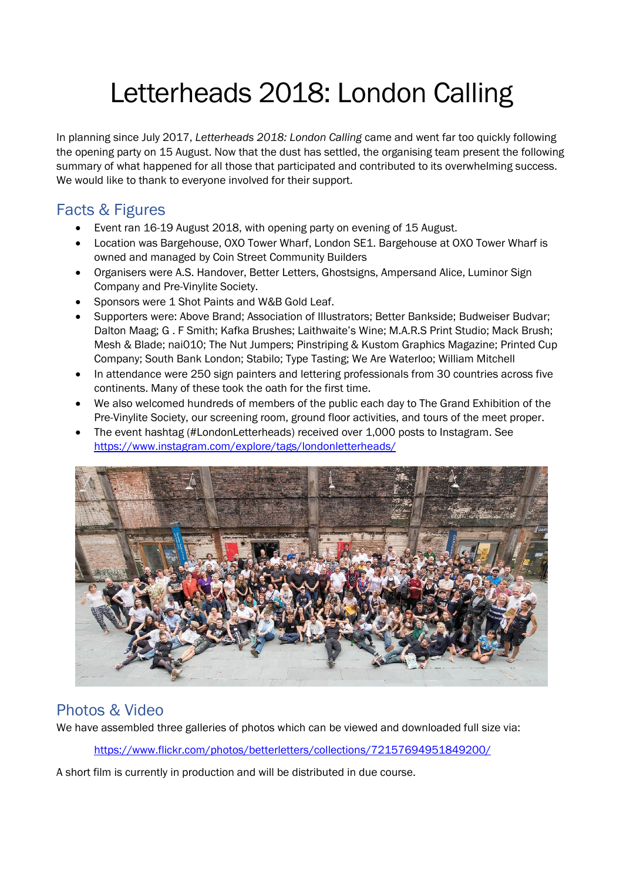# Letterheads 2018: London Calling

In planning since July 2017, *Letterheads 2018: London Calling* came and went far too quickly following the opening party on 15 August. Now that the dust has settled, the organising team present the following summary of what happened for all those that participated and contributed to its overwhelming success. We would like to thank to everyone involved for their support.

## Facts & Figures

- Event ran 16-19 August 2018, with opening party on evening of 15 August.
- Location was Bargehouse, OXO Tower Wharf, London SE1. Bargehouse at OXO Tower Wharf is owned and managed by Coin Street Community Builders
- Organisers were A.S. Handover, Better Letters, Ghostsigns, Ampersand Alice, Luminor Sign Company and Pre-Vinylite Society.
- Sponsors were 1 Shot Paints and W&B Gold Leaf.
- Supporters were: Above Brand; Association of Illustrators; Better Bankside; Budweiser Budvar; Dalton Maag; G . F Smith; Kafka Brushes; Laithwaite's Wine; M.A.R.S Print Studio; Mack Brush; Mesh & Blade; nai010; The Nut Jumpers; Pinstriping & Kustom Graphics Magazine; Printed Cup Company; South Bank London; Stabilo; Type Tasting; We Are Waterloo; William Mitchell
- In attendance were 250 sign painters and lettering professionals from 30 countries across five continents. Many of these took the oath for the first time.
- We also welcomed hundreds of members of the public each day to The Grand Exhibition of the Pre-Vinylite Society, our screening room, ground floor activities, and tours of the meet proper.
- The event hashtag (#LondonLetterheads) received over 1,000 posts to Instagram. See <https://www.instagram.com/explore/tags/londonletterheads/>



### Photos & Video

We have assembled three galleries of photos which can be viewed and downloaded full size via:

<https://www.flickr.com/photos/betterletters/collections/72157694951849200/>

A short film is currently in production and will be distributed in due course.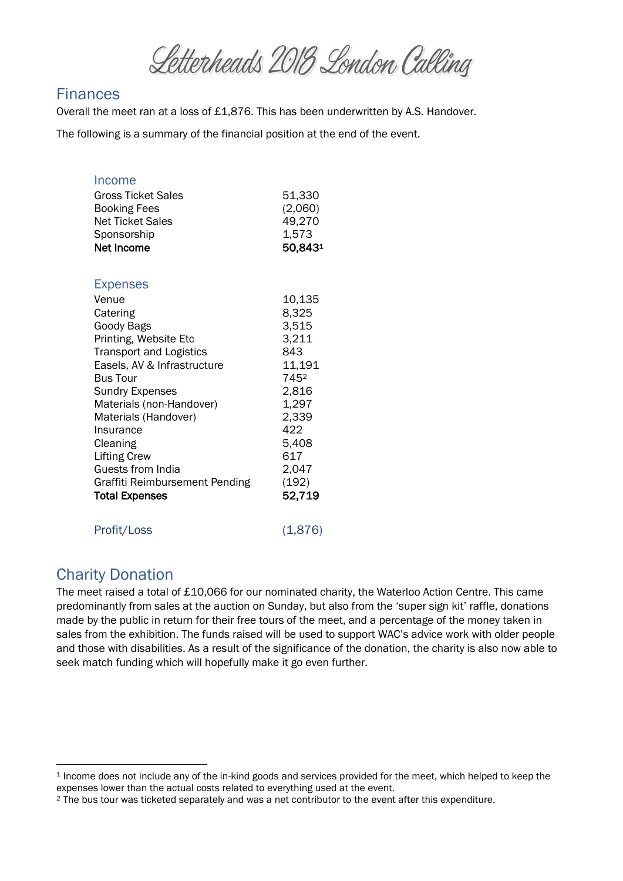Letterheads 2018 London Calling

#### **Finances**

Overall the meet ran at a loss of £1,876. This has been underwritten by A.S. Handover.

The following is a summary of the financial position at the end of the event.

| Income<br><b>Gross Ticket Sales</b><br><b>Booking Fees</b><br><b>Net Ticket Sales</b><br>Sponsorship<br>Net Income                                                                                                                                                                                                                                                            | 51,330<br>(2,060)<br>49,270<br>1,573<br>50,8431                                                                                          |
|-------------------------------------------------------------------------------------------------------------------------------------------------------------------------------------------------------------------------------------------------------------------------------------------------------------------------------------------------------------------------------|------------------------------------------------------------------------------------------------------------------------------------------|
| <b>Expenses</b><br>Venue<br>Catering<br>Goody Bags<br>Printing, Website Etc<br><b>Transport and Logistics</b><br>Easels, AV & Infrastructure<br><b>Bus Tour</b><br><b>Sundry Expenses</b><br>Materials (non-Handover)<br>Materials (Handover)<br>Insurance<br>Cleaning<br><b>Lifting Crew</b><br>Guests from India<br>Graffiti Reimbursement Pending<br><b>Total Expenses</b> | 10,135<br>8,325<br>3,515<br>3,211<br>843<br>11,191<br>7452<br>2,816<br>1,297<br>2,339<br>422<br>5,408<br>617<br>2,047<br>(192)<br>52,719 |
| Profit/Loss                                                                                                                                                                                                                                                                                                                                                                   | (1,876)                                                                                                                                  |

#### Charity Donation

**.** 

The meet raised a total of £10,066 for our nominated charity, the Waterloo Action Centre. This came predominantly from sales at the auction on Sunday, but also from the 'super sign kit' raffle, donations made by the public in return for their free tours of the meet, and a percentage of the money taken in sales from the exhibition. The funds raised will be used to support WAC's advice work with older people and those with disabilities. As a result of the significance of the donation, the charity is also now able to seek match funding which will hopefully make it go even further.

<sup>1</sup> Income does not include any of the in-kind goods and services provided for the meet, which helped to keep the expenses lower than the actual costs related to everything used at the event.

<sup>2</sup> The bus tour was ticketed separately and was a net contributor to the event after this expenditure.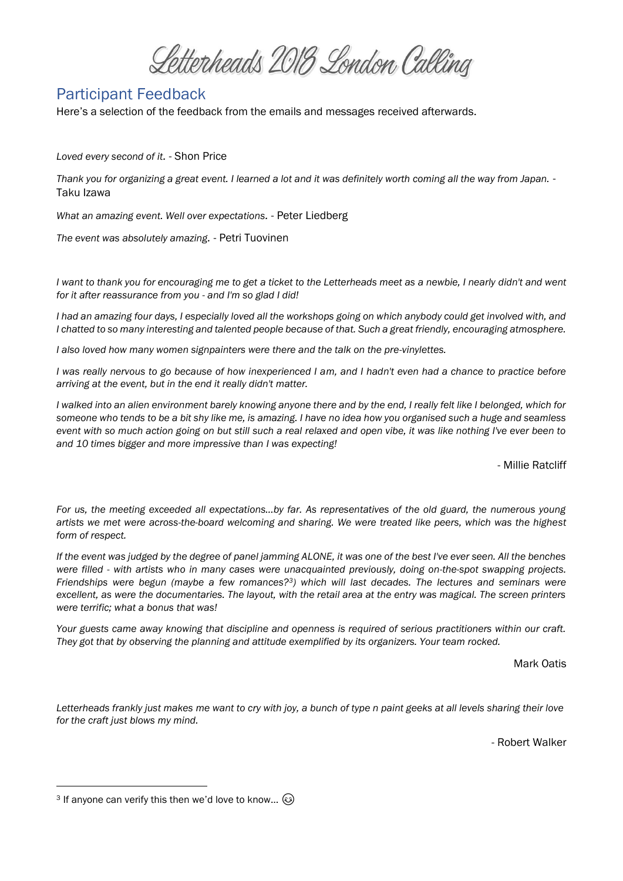Letterheads 2018 London Calling

#### Participant Feedback

Here's a selection of the feedback from the emails and messages received afterwards.

*Loved every second of it.* - Shon Price

*Thank you for organizing a great event. I learned a lot and it was definitely worth coming all the way from Japan.* - Taku Izawa

*What an amazing event. Well over expectations.* - Peter Liedberg

*The event was absolutely amazing.* - Petri Tuovinen

*I want to thank you for encouraging me to get a ticket to the Letterheads meet as a newbie, I nearly didn't and went for it after reassurance from you - and I'm so glad I did!*

*I had an amazing four days, I especially loved all the workshops going on which anybody could get involved with, and I chatted to so many interesting and talented people because of that. Such a great friendly, encouraging atmosphere.*

*I also loved how many women signpainters were there and the talk on the pre-vinylettes.*

*I* was really nervous to go because of how inexperienced I am, and I hadn't even had a chance to practice before *arriving at the event, but in the end it really didn't matter.*

*I walked into an alien environment barely knowing anyone there and by the end, I really felt like I belonged, which for someone who tends to be a bit shy like me, is amazing. I have no idea how you organised such a huge and seamless event with so much action going on but still such a real relaxed and open vibe, it was like nothing I've ever been to and 10 times bigger and more impressive than I was expecting!*

- Millie Ratcliff

*For us, the meeting exceeded all expectations...by far. As representatives of the old guard, the numerous young artists we met were across-the-board welcoming and sharing. We were treated like peers, which was the highest form of respect.*

*If the event was judged by the degree of panel jamming ALONE, it was one of the best I've ever seen. All the benches were filled - with artists who in many cases were unacquainted previously, doing on-the-spot swapping projects. Friendships were begun (maybe a few romances?3) which will last decades. The lectures and seminars were excellent, as were the documentaries. The layout, with the retail area at the entry was magical. The screen printers were terrific; what a bonus that was!*

*Your guests came away knowing that discipline and openness is required of serious practitioners within our craft. They got that by observing the planning and attitude exemplified by its organizers. Your team rocked.*

Mark Oatis

*Letterheads frankly just makes me want to cry with joy, a bunch of type n paint geeks at all levels sharing their love for the craft just blows my mind.*

- Robert Walker

1

<sup>3</sup> If anyone can verify this then we'd love to know...  $\odot$